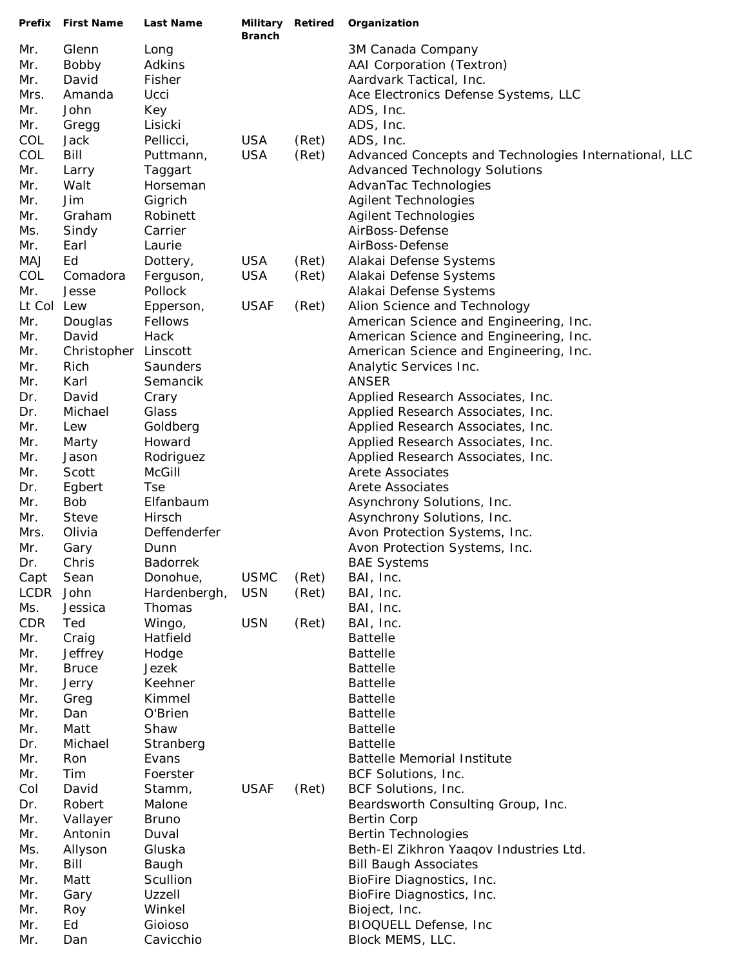|             | Prefix First Name | <b>Last Name</b> | Military Retired<br><b>Branch</b> |       | Organization                                          |
|-------------|-------------------|------------------|-----------------------------------|-------|-------------------------------------------------------|
| Mr.         | Glenn             | Long             |                                   |       | 3M Canada Company                                     |
| Mr.         | Bobby             | Adkins           |                                   |       | AAI Corporation (Textron)                             |
| Mr.         | David             | Fisher           |                                   |       | Aardvark Tactical, Inc.                               |
| Mrs.        | Amanda            | Ucci             |                                   |       | Ace Electronics Defense Systems, LLC                  |
| Mr.         | John              | Key              |                                   |       | ADS, Inc.                                             |
| Mr.         | Gregg             | Lisicki          |                                   |       | ADS, Inc.                                             |
| COL         | Jack              | Pellicci,        | <b>USA</b>                        | (Ret) | ADS, Inc.                                             |
| COL         | Bill              | Puttmann,        | <b>USA</b>                        | (Ret) | Advanced Concepts and Technologies International, LLC |
| Mr.         | Larry             | Taggart          |                                   |       | <b>Advanced Technology Solutions</b>                  |
| Mr.         | Walt              | Horseman         |                                   |       | AdvanTac Technologies                                 |
| Mr.         | Jim               | Gigrich          |                                   |       | <b>Agilent Technologies</b>                           |
| Mr.         | Graham            | Robinett         |                                   |       | <b>Agilent Technologies</b>                           |
| Ms.         | Sindy             | Carrier          |                                   |       | AirBoss-Defense                                       |
| Mr.         | Earl              | Laurie           |                                   |       | AirBoss-Defense                                       |
| MAJ         | Ed                | Dottery,         | <b>USA</b>                        | (Ret) | Alakai Defense Systems                                |
| COL         | Comadora          | Ferguson,        | <b>USA</b>                        | (Ret) | Alakai Defense Systems                                |
| Mr.         | Jesse             | Pollock          |                                   |       | Alakai Defense Systems                                |
| Lt Col      | Lew               | Epperson,        | <b>USAF</b>                       | (Ret) | Alion Science and Technology                          |
| Mr.         | Douglas           | Fellows          |                                   |       | American Science and Engineering, Inc.                |
| Mr.         | David             | Hack             |                                   |       | American Science and Engineering, Inc.                |
| Mr.         | Christopher       | Linscott         |                                   |       | American Science and Engineering, Inc.                |
| Mr.         | Rich              | Saunders         |                                   |       | Analytic Services Inc.                                |
| Mr.         | Karl              | Semancik         |                                   |       | <b>ANSER</b>                                          |
| Dr.         | David             | Crary            |                                   |       | Applied Research Associates, Inc.                     |
| Dr.         | Michael           | Glass            |                                   |       | Applied Research Associates, Inc.                     |
| Mr.         | Lew               | Goldberg         |                                   |       | Applied Research Associates, Inc.                     |
| Mr.         | Marty             | Howard           |                                   |       | Applied Research Associates, Inc.                     |
| Mr.         | Jason             | Rodriguez        |                                   |       | Applied Research Associates, Inc.                     |
| Mr.         | Scott             | <b>McGill</b>    |                                   |       | <b>Arete Associates</b>                               |
| Dr.         | Egbert            | <b>Tse</b>       |                                   |       | <b>Arete Associates</b>                               |
| Mr.         | <b>Bob</b>        | Elfanbaum        |                                   |       | Asynchrony Solutions, Inc.                            |
| Mr.         | <b>Steve</b>      | Hirsch           |                                   |       | Asynchrony Solutions, Inc.                            |
| Mrs.        | Olivia            | Deffenderfer     |                                   |       | Avon Protection Systems, Inc.                         |
| Mr.         | Gary              | Dunn             |                                   |       | Avon Protection Systems, Inc.                         |
| Dr.         | Chris             | <b>Badorrek</b>  |                                   |       | <b>BAE Systems</b>                                    |
| Capt        | Sean              | Donohue,         | <b>USMC</b>                       | (Ret) | BAI, Inc.                                             |
| <b>LCDR</b> | John              | Hardenbergh,     | <b>USN</b>                        | (Ret) | BAI, Inc.                                             |
| Ms.         | Jessica           | Thomas           |                                   |       | BAI, Inc.                                             |
| <b>CDR</b>  | Ted               | Wingo,           | <b>USN</b>                        | (Ret) | BAI, Inc.                                             |
| Mr.         | Craig             | Hatfield         |                                   |       | <b>Battelle</b>                                       |
| Mr.         | Jeffrey           | Hodge            |                                   |       | <b>Battelle</b>                                       |
| Mr.         | <b>Bruce</b>      | Jezek            |                                   |       | <b>Battelle</b>                                       |
| Mr.         | Jerry             | Keehner          |                                   |       | <b>Battelle</b>                                       |
| Mr.         | Greg              | Kimmel           |                                   |       | <b>Battelle</b>                                       |
| Mr.         | Dan               | O'Brien          |                                   |       | <b>Battelle</b>                                       |
| Mr.         | Matt              | Shaw             |                                   |       | <b>Battelle</b>                                       |
| Dr.         | Michael           | Stranberg        |                                   |       | <b>Battelle</b>                                       |
| Mr.         | Ron               | Evans            |                                   |       | <b>Battelle Memorial Institute</b>                    |
| Mr.         | Tim               | Foerster         |                                   |       | BCF Solutions, Inc.                                   |
| Col         | David             | Stamm,           | <b>USAF</b>                       | (Ret) | BCF Solutions, Inc.                                   |
| Dr.         | Robert            | Malone           |                                   |       | Beardsworth Consulting Group, Inc.                    |
| Mr.         | Vallayer          | <b>Bruno</b>     |                                   |       | <b>Bertin Corp</b>                                    |
| Mr.         | Antonin           | Duval            |                                   |       | <b>Bertin Technologies</b>                            |
| Ms.         | Allyson           | Gluska           |                                   |       | Beth-El Zikhron Yaaqov Industries Ltd.                |
| Mr.         | Bill              | Baugh            |                                   |       | <b>Bill Baugh Associates</b>                          |
| Mr.         | Matt              | Scullion         |                                   |       | BioFire Diagnostics, Inc.                             |
| Mr.         | Gary              | Uzzell           |                                   |       | BioFire Diagnostics, Inc.                             |
| Mr.         | Roy               | Winkel           |                                   |       | Bioject, Inc.                                         |
| Mr.         | Ed                | Gioioso          |                                   |       | BIOQUELL Defense, Inc                                 |
| Mr.         | Dan               | Cavicchio        |                                   |       | Block MEMS, LLC.                                      |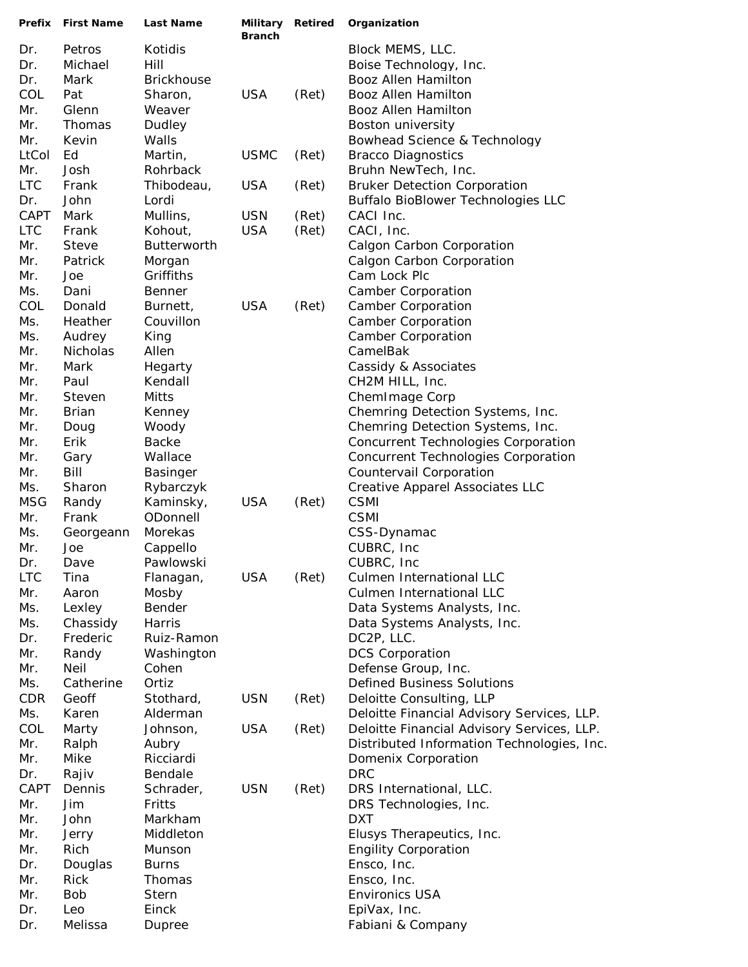| Prefix     | <b>First Name</b> | <b>Last Name</b>      | Military Retired<br><b>Branch</b> |       | Organization                                    |
|------------|-------------------|-----------------------|-----------------------------------|-------|-------------------------------------------------|
| Dr.        | Petros            | Kotidis               |                                   |       | Block MEMS, LLC.                                |
| Dr.        | Michael           | Hill                  |                                   |       | Boise Technology, Inc.                          |
| Dr.        | Mark              | <b>Brickhouse</b>     |                                   |       | Booz Allen Hamilton                             |
| COL        | Pat               | Sharon,               | <b>USA</b>                        | (Ret) | <b>Booz Allen Hamilton</b>                      |
| Mr.        | Glenn             | Weaver                |                                   |       | Booz Allen Hamilton                             |
| Mr.        | Thomas            | Dudley                |                                   |       | Boston university                               |
| Mr.        | Kevin             | Walls                 |                                   |       | Bowhead Science & Technology                    |
| LtCol      | Ed                | Martin,               | <b>USMC</b>                       | (Ret) | <b>Bracco Diagnostics</b>                       |
| Mr.        | Josh              | Rohrback              |                                   |       | Bruhn NewTech, Inc.                             |
| <b>LTC</b> | Frank             | Thibodeau,            | <b>USA</b>                        | (Ret) | <b>Bruker Detection Corporation</b>             |
| Dr.        | John              | Lordi                 |                                   |       | <b>Buffalo BioBlower Technologies LLC</b>       |
| CAPT       | Mark              | Mullins,              | <b>USN</b>                        | (Ret) | CACI Inc.                                       |
| <b>LTC</b> | Frank             | Kohout,               | <b>USA</b>                        | (Ret) | CACI, Inc.                                      |
| Mr.        | <b>Steve</b>      | Butterworth           |                                   |       | Calgon Carbon Corporation                       |
| Mr.        | Patrick           | Morgan                |                                   |       | Calgon Carbon Corporation                       |
| Mr.        | Joe               | Griffiths             |                                   |       | Cam Lock Plc                                    |
| Ms.<br>COL | Dani              | <b>Benner</b>         | <b>USA</b>                        |       | <b>Camber Corporation</b>                       |
| Ms.        | Donald<br>Heather | Burnett,<br>Couvillon |                                   | (Ret) | <b>Camber Corporation</b><br>Camber Corporation |
| Ms.        | Audrey            | King                  |                                   |       | <b>Camber Corporation</b>                       |
| Mr.        | Nicholas          | Allen                 |                                   |       | CamelBak                                        |
| Mr.        | Mark              | Hegarty               |                                   |       | Cassidy & Associates                            |
| Mr.        | Paul              | Kendall               |                                   |       | CH2M HILL, Inc.                                 |
| Mr.        | Steven            | Mitts                 |                                   |       | ChemImage Corp                                  |
| Mr.        | <b>Brian</b>      | Kenney                |                                   |       | Chemring Detection Systems, Inc.                |
| Mr.        | Doug              | Woody                 |                                   |       | Chemring Detection Systems, Inc.                |
| Mr.        | Erik              | <b>Backe</b>          |                                   |       | Concurrent Technologies Corporation             |
| Mr.        | Gary              | Wallace               |                                   |       | Concurrent Technologies Corporation             |
| Mr.        | Bill              | <b>Basinger</b>       |                                   |       | Countervail Corporation                         |
| Ms.        | Sharon            | Rybarczyk             |                                   |       | Creative Apparel Associates LLC                 |
| <b>MSG</b> | Randy             | Kaminsky,             | <b>USA</b>                        | (Ret) | <b>CSMI</b>                                     |
| Mr.        | Frank             | ODonnell              |                                   |       | <b>CSMI</b>                                     |
| Ms.        | Georgeann         | Morekas               |                                   |       | CSS-Dynamac                                     |
| Mr.        | Joe               | Cappello              |                                   |       | CUBRC, Inc.                                     |
| Dr.        | Dave              | Pawlowski             |                                   |       | CUBRC, Inc.                                     |
| <b>LTC</b> | Tina              | Flanagan,             | <b>USA</b>                        | (Ret) | Culmen International LLC                        |
| Mr.        | Aaron             | Mosby                 |                                   |       | Culmen International LLC                        |
| Ms.        | Lexley            | Bender                |                                   |       | Data Systems Analysts, Inc.                     |
| Ms.        | Chassidy          | Harris                |                                   |       | Data Systems Analysts, Inc.                     |
| Dr.        | Frederic          | Ruiz-Ramon            |                                   |       | DC2P, LLC.                                      |
| Mr.        | Randy             | Washington            |                                   |       | <b>DCS Corporation</b>                          |
| Mr.        | Neil              | Cohen                 |                                   |       | Defense Group, Inc.                             |
| Ms.        | Catherine         | Ortiz                 |                                   |       | <b>Defined Business Solutions</b>               |
| <b>CDR</b> | Geoff             | Stothard,             | <b>USN</b>                        | (Ret) | Deloitte Consulting, LLP                        |
| Ms.        | Karen             | Alderman              |                                   |       | Deloitte Financial Advisory Services, LLP.      |
| COL        | Marty             | Johnson,              | <b>USA</b>                        | (Ret) | Deloitte Financial Advisory Services, LLP.      |
| Mr.<br>Mr. | Ralph<br>Mike     | Aubry<br>Ricciardi    |                                   |       | Distributed Information Technologies, Inc.      |
| Dr.        | Rajiv             | Bendale               |                                   |       | Domenix Corporation<br><b>DRC</b>               |
| CAPT       | Dennis            | Schrader,             | <b>USN</b>                        | (Ret) | DRS International, LLC.                         |
| Mr.        | Jim               | Fritts                |                                   |       | DRS Technologies, Inc.                          |
| Mr.        | John              | Markham               |                                   |       | <b>DXT</b>                                      |
| Mr.        | Jerry             | Middleton             |                                   |       | Elusys Therapeutics, Inc.                       |
| Mr.        | Rich              | Munson                |                                   |       | <b>Engility Corporation</b>                     |
| Dr.        | Douglas           | <b>Burns</b>          |                                   |       | Ensco, Inc.                                     |
| Mr.        | Rick              | Thomas                |                                   |       | Ensco, Inc.                                     |
| Mr.        | <b>Bob</b>        | Stern                 |                                   |       | <b>Environics USA</b>                           |
| Dr.        | Leo               | Einck                 |                                   |       | EpiVax, Inc.                                    |
| Dr.        | Melissa           | Dupree                |                                   |       | Fabiani & Company                               |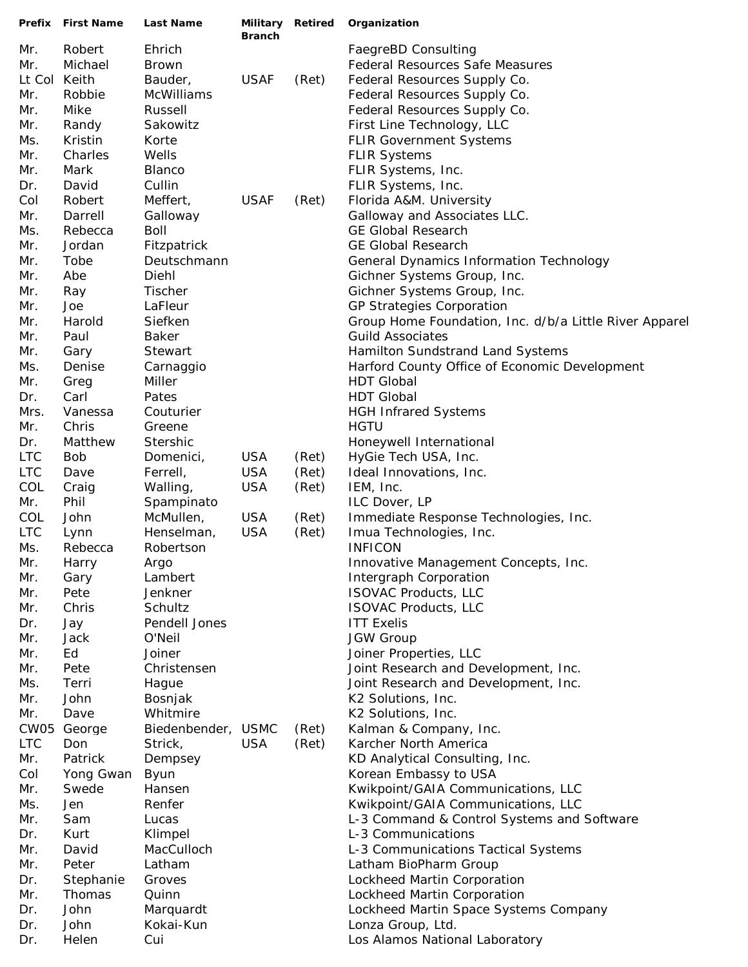|            | Prefix First Name | <b>Last Name</b>        | <b>Branch</b> |       | Military Retired Organization                                                |
|------------|-------------------|-------------------------|---------------|-------|------------------------------------------------------------------------------|
| Mr.        | Robert            | Ehrich                  |               |       | FaegreBD Consulting                                                          |
| Mr.        | Michael           | <b>Brown</b>            |               |       | <b>Federal Resources Safe Measures</b>                                       |
| Lt Col     | Keith             | Bauder,                 | <b>USAF</b>   | (Ret) | Federal Resources Supply Co.                                                 |
| Mr.        | Robbie            | McWilliams              |               |       | Federal Resources Supply Co.                                                 |
| Mr.        | Mike              | Russell                 |               |       | Federal Resources Supply Co.                                                 |
| Mr.        | Randy             | Sakowitz                |               |       | First Line Technology, LLC                                                   |
| Ms.        | Kristin           | Korte                   |               |       | <b>FLIR Government Systems</b>                                               |
| Mr.        | Charles           | Wells                   |               |       | <b>FLIR Systems</b>                                                          |
| Mr.        | Mark              | Blanco                  |               |       | FLIR Systems, Inc.                                                           |
| Dr.        | David             | Cullin                  |               |       | FLIR Systems, Inc.                                                           |
| Col        | Robert            | Meffert,                | <b>USAF</b>   | (Ret) | Florida A&M. University                                                      |
| Mr.        | Darrell           | Galloway                |               |       | Galloway and Associates LLC.                                                 |
| Ms.        | Rebecca           | Boll                    |               |       | <b>GE Global Research</b>                                                    |
| Mr.        | Jordan            | Fitzpatrick             |               |       | <b>GE Global Research</b>                                                    |
| Mr.        | Tobe              | Deutschmann             |               |       | General Dynamics Information Technology                                      |
| Mr.        | Abe               | Diehl                   |               |       | Gichner Systems Group, Inc.                                                  |
| Mr.        | Ray               | Tischer                 |               |       | Gichner Systems Group, Inc.                                                  |
| Mr.        | Joe               | LaFleur                 |               |       | GP Strategies Corporation                                                    |
| Mr.        | Harold            | Siefken                 |               |       | Group Home Foundation, Inc. d/b/a Little River Apparel                       |
| Mr.        | Paul              | <b>Baker</b>            |               |       | <b>Guild Associates</b>                                                      |
| Mr.        | Gary              | Stewart                 |               |       | Hamilton Sundstrand Land Systems                                             |
| Ms.        | Denise            | Carnaggio               |               |       | Harford County Office of Economic Development                                |
| Mr.        | Greg              | Miller                  |               |       | <b>HDT Global</b>                                                            |
| Dr.        | Carl              | Pates                   |               |       | <b>HDT Global</b>                                                            |
| Mrs.       | Vanessa           | Couturier               |               |       | <b>HGH Infrared Systems</b>                                                  |
| Mr.        | Chris             | Greene                  |               |       | <b>HGTU</b>                                                                  |
| Dr.        | Matthew           | <b>Stershic</b>         |               |       | Honeywell International                                                      |
| <b>LTC</b> | Bob               | Domenici,               | <b>USA</b>    | (Ret) | HyGie Tech USA, Inc.                                                         |
| <b>LTC</b> | Dave              | Ferrell,                | <b>USA</b>    | (Ret) | Ideal Innovations, Inc.                                                      |
| COL        | Craig             | Walling,                | <b>USA</b>    | (Ret) | IEM, Inc.                                                                    |
| Mr.        | Phil              | Spampinato              |               |       | ILC Dover, LP                                                                |
| COL        | John              | McMullen,               | <b>USA</b>    | (Ret) | Immediate Response Technologies, Inc.                                        |
| <b>LTC</b> | Lynn              | Henselman,              | <b>USA</b>    | (Ret) | Imua Technologies, Inc.                                                      |
| Ms.        | Rebecca           | Robertson               |               |       | <b>INFICON</b>                                                               |
| Mr.        | Harry             | Argo                    |               |       | Innovative Management Concepts, Inc.                                         |
| Mr.        | Gary              | Lambert                 |               |       | Intergraph Corporation                                                       |
| Mr.        | Pete              | Jenkner<br>Schultz      |               |       | <b>ISOVAC Products, LLC</b><br><b>ISOVAC Products, LLC</b>                   |
| Mr.        | Chris             |                         |               |       |                                                                              |
| Dr.        | Jay               | Pendell Jones<br>O'Neil |               |       | <b>ITT Exelis</b>                                                            |
| Mr.        | Jack<br>Ed        | Joiner                  |               |       | <b>JGW Group</b><br>Joiner Properties, LLC                                   |
| Mr.        |                   |                         |               |       |                                                                              |
| Mr.<br>Ms. | Pete<br>Terri     | Christensen<br>Hague    |               |       | Joint Research and Development, Inc.<br>Joint Research and Development, Inc. |
| Mr.        | John              | Bosnjak                 |               |       | K2 Solutions, Inc.                                                           |
| Mr.        | Dave              | Whitmire                |               |       | K2 Solutions, Inc.                                                           |
| CW05       | George            | Biedenbender, USMC      |               | (Ret) | Kalman & Company, Inc.                                                       |
| <b>LTC</b> | Don               | Strick,                 | <b>USA</b>    | (Ret) | Karcher North America                                                        |
| Mr.        | Patrick           | Dempsey                 |               |       | KD Analytical Consulting, Inc.                                               |
| Col        | Yong Gwan         | Byun                    |               |       | Korean Embassy to USA                                                        |
| Mr.        | Swede             | Hansen                  |               |       | Kwikpoint/GAIA Communications, LLC                                           |
| Ms.        | Jen               | Renfer                  |               |       | Kwikpoint/GAIA Communications, LLC                                           |
| Mr.        | Sam               | Lucas                   |               |       | L-3 Command & Control Systems and Software                                   |
| Dr.        | Kurt              | Klimpel                 |               |       | L-3 Communications                                                           |
| Mr.        | David             | MacCulloch              |               |       | L-3 Communications Tactical Systems                                          |
| Mr.        | Peter             | Latham                  |               |       | Latham BioPharm Group                                                        |
| Dr.        | Stephanie         | Groves                  |               |       | Lockheed Martin Corporation                                                  |
| Mr.        | Thomas            | Quinn                   |               |       | Lockheed Martin Corporation                                                  |
| Dr.        | John              | Marquardt               |               |       | Lockheed Martin Space Systems Company                                        |
| Dr.        | John              | Kokai-Kun               |               |       | Lonza Group, Ltd.                                                            |
| Dr.        | Helen             | Cui                     |               |       | Los Alamos National Laboratory                                               |
|            |                   |                         |               |       |                                                                              |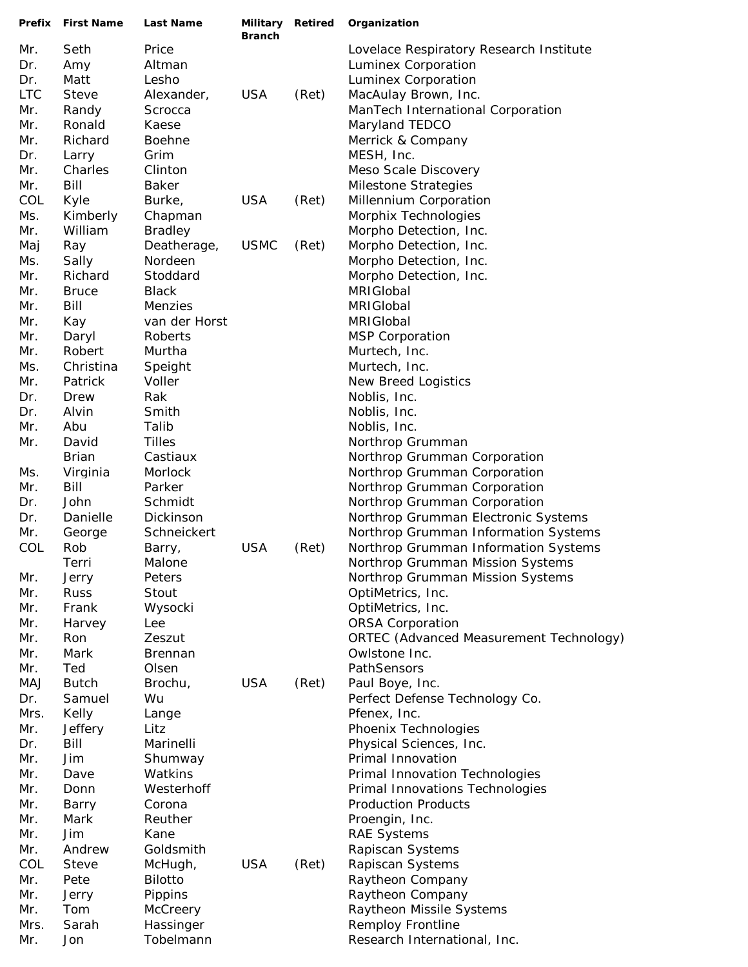|            | Prefix First Name  | <b>Last Name</b>     | Military Retired<br><b>Branch</b> |       | Organization                                                                 |
|------------|--------------------|----------------------|-----------------------------------|-------|------------------------------------------------------------------------------|
| Mr.        | Seth               | Price                |                                   |       | Lovelace Respiratory Research Institute                                      |
| Dr.        | Amy                | Altman               |                                   |       | Luminex Corporation                                                          |
| Dr.        | Matt               | Lesho                |                                   |       | Luminex Corporation                                                          |
| <b>LTC</b> | <b>Steve</b>       | Alexander,           | <b>USA</b>                        | (Ret) | MacAulay Brown, Inc.                                                         |
| Mr.        | Randy              | Scrocca              |                                   |       | ManTech International Corporation                                            |
| Mr.        | Ronald             | Kaese                |                                   |       | Maryland TEDCO                                                               |
| Mr.        | Richard            | <b>Boehne</b>        |                                   |       | Merrick & Company                                                            |
| Dr.        | Larry              | Grim                 |                                   |       | MESH, Inc.                                                                   |
| Mr.        | Charles            | Clinton              |                                   |       | Meso Scale Discovery                                                         |
| Mr.        | Bill               | <b>Baker</b>         |                                   |       | Milestone Strategies                                                         |
| COL        | Kyle               | Burke,               | <b>USA</b>                        | (Ret) | Millennium Corporation                                                       |
| Ms.        | Kimberly           | Chapman              |                                   |       | Morphix Technologies                                                         |
| Mr.        | William            | <b>Bradley</b>       |                                   |       | Morpho Detection, Inc.                                                       |
| Maj        | Ray                | Deatherage,          | <b>USMC</b>                       | (Ret) | Morpho Detection, Inc.                                                       |
| Ms.        | Sally              | Nordeen              |                                   |       | Morpho Detection, Inc.                                                       |
| Mr.        | Richard            | Stoddard             |                                   |       | Morpho Detection, Inc.                                                       |
| Mr.        | <b>Bruce</b>       | <b>Black</b>         |                                   |       | MRIGIobal                                                                    |
| Mr.        | Bill               | Menzies              |                                   |       | MRIGIobal                                                                    |
| Mr.        | Kay                | van der Horst        |                                   |       | MRIGIobal                                                                    |
| Mr.        | Daryl              | Roberts              |                                   |       | <b>MSP Corporation</b>                                                       |
| Mr.        | Robert             | Murtha               |                                   |       | Murtech, Inc.                                                                |
| Ms.        | Christina          | Speight              |                                   |       | Murtech, Inc.                                                                |
| Mr.        | Patrick            | Voller               |                                   |       | New Breed Logistics                                                          |
| Dr.        | Drew               | Rak                  |                                   |       | Noblis, Inc.                                                                 |
| Dr.        | Alvin              | Smith                |                                   |       | Noblis, Inc.                                                                 |
| Mr.        | Abu                | Talib                |                                   |       | Noblis, Inc.                                                                 |
| Mr.        | David              | <b>Tilles</b>        |                                   |       | Northrop Grumman                                                             |
|            | <b>Brian</b>       | Castiaux             |                                   |       | Northrop Grumman Corporation                                                 |
| Ms.        | Virginia           | Morlock              |                                   |       | Northrop Grumman Corporation                                                 |
| Mr.        | Bill               | Parker               |                                   |       | Northrop Grumman Corporation                                                 |
| Dr.        | John               | Schmidt<br>Dickinson |                                   |       | Northrop Grumman Corporation                                                 |
| Dr.<br>Mr. | Danielle<br>George | Schneickert          |                                   |       | Northrop Grumman Electronic Systems                                          |
| COL        | Rob                | Barry,               | <b>USA</b>                        | (Ret) | Northrop Grumman Information Systems<br>Northrop Grumman Information Systems |
|            | Terri              | Malone               |                                   |       | Northrop Grumman Mission Systems                                             |
| Mr.        | Jerry              | Peters               |                                   |       | Northrop Grumman Mission Systems                                             |
| Mr.        | <b>Russ</b>        | Stout                |                                   |       | OptiMetrics, Inc.                                                            |
| Mr.        | Frank              | Wysocki              |                                   |       | OptiMetrics, Inc.                                                            |
| Mr.        | Harvey             | Lee                  |                                   |       | <b>ORSA Corporation</b>                                                      |
| Mr.        | Ron                | Zeszut               |                                   |       | ORTEC (Advanced Measurement Technology)                                      |
| Mr.        | Mark               | <b>Brennan</b>       |                                   |       | Owlstone Inc.                                                                |
| Mr.        | Ted                | Olsen                |                                   |       | PathSensors                                                                  |
| <b>MAJ</b> | <b>Butch</b>       | Brochu,              | <b>USA</b>                        | (Ret) | Paul Boye, Inc.                                                              |
| Dr.        | Samuel             | Wu                   |                                   |       | Perfect Defense Technology Co.                                               |
| Mrs.       | Kelly              | Lange                |                                   |       | Pfenex, Inc.                                                                 |
| Mr.        | Jeffery            | Litz                 |                                   |       | Phoenix Technologies                                                         |
| Dr.        | Bill               | Marinelli            |                                   |       | Physical Sciences, Inc.                                                      |
| Mr.        | Jim                | Shumway              |                                   |       | Primal Innovation                                                            |
| Mr.        | Dave               | Watkins              |                                   |       | Primal Innovation Technologies                                               |
| Mr.        | Donn               | Westerhoff           |                                   |       | Primal Innovations Technologies                                              |
| Mr.        | Barry              | Corona               |                                   |       | <b>Production Products</b>                                                   |
| Mr.        | Mark               | Reuther              |                                   |       | Proengin, Inc.                                                               |
| Mr.        | Jim                | Kane                 |                                   |       | <b>RAE Systems</b>                                                           |
| Mr.        | Andrew             | Goldsmith            |                                   |       | Rapiscan Systems                                                             |
| COL        | <b>Steve</b>       | McHugh,              | <b>USA</b>                        | (Ret) | Rapiscan Systems                                                             |
| Mr.        | Pete               | <b>Bilotto</b>       |                                   |       | Raytheon Company                                                             |
| Mr.        | Jerry              | Pippins              |                                   |       | Raytheon Company                                                             |
| Mr.        | Tom                | McCreery             |                                   |       | Raytheon Missile Systems                                                     |
| Mrs.       | Sarah              | Hassinger            |                                   |       | <b>Remploy Frontline</b>                                                     |
| Mr.        | Jon                | Tobelmann            |                                   |       | Research International, Inc.                                                 |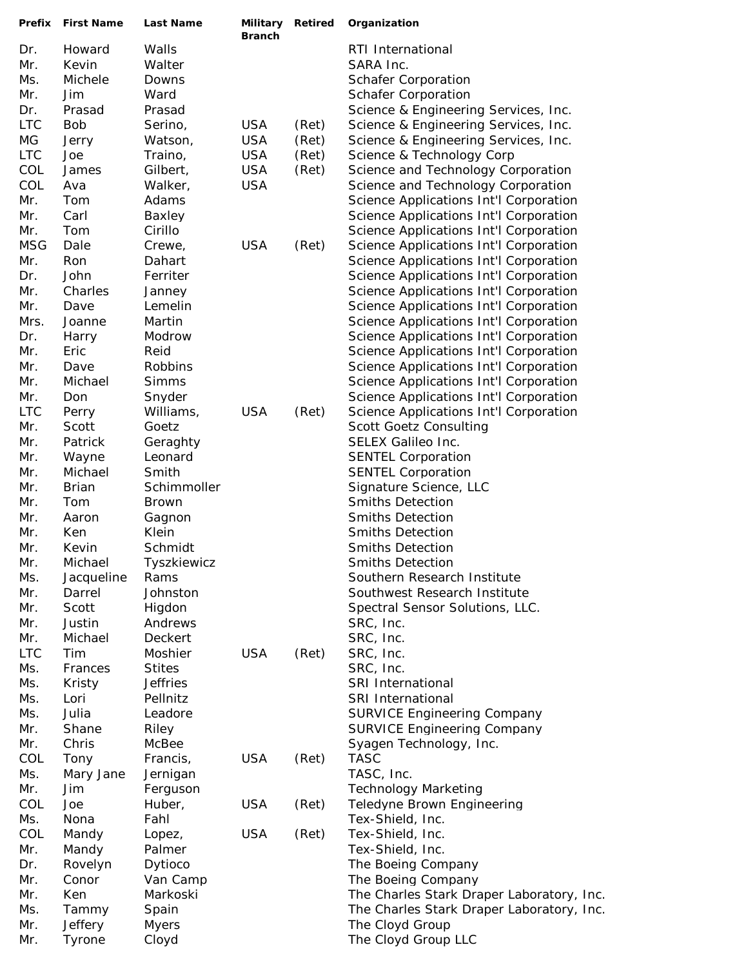| Prefix     | <b>First Name</b> | <b>Last Name</b>   | Military<br><b>Branch</b> | Retired | Organization                                              |
|------------|-------------------|--------------------|---------------------------|---------|-----------------------------------------------------------|
| Dr.        | Howard            | Walls              |                           |         | RTI International                                         |
| Mr.        | Kevin             | Walter             |                           |         | SARA Inc.                                                 |
| Ms.        | Michele           | Downs              |                           |         | <b>Schafer Corporation</b>                                |
| Mr.        | Jim               | Ward               |                           |         | <b>Schafer Corporation</b>                                |
| Dr.        | Prasad            | Prasad             |                           |         | Science & Engineering Services, Inc.                      |
| <b>LTC</b> | <b>Bob</b>        | Serino,            | <b>USA</b>                | (Ret)   | Science & Engineering Services, Inc.                      |
| $MG$       | Jerry             | Watson,            | <b>USA</b>                | (Ret)   | Science & Engineering Services, Inc.                      |
| <b>LTC</b> | Joe               | Traino,            | <b>USA</b>                | (Ret)   | Science & Technology Corp                                 |
| COL        | James             | Gilbert,           | <b>USA</b>                | (Ret)   | Science and Technology Corporation                        |
| COL        | Ava               | Walker,            | <b>USA</b>                |         | Science and Technology Corporation                        |
| Mr.        | Tom               | Adams              |                           |         | Science Applications Int'l Corporation                    |
| Mr.        | Carl              | Baxley             |                           |         | Science Applications Int'l Corporation                    |
| Mr.        | Tom               | Cirillo            |                           |         | Science Applications Int'l Corporation                    |
| <b>MSG</b> | Dale              | Crewe,             | <b>USA</b>                | (Ret)   | Science Applications Int'l Corporation                    |
| Mr.        | Ron               | Dahart             |                           |         | Science Applications Int'l Corporation                    |
| Dr.        | John              | Ferriter           |                           |         | Science Applications Int'l Corporation                    |
| Mr.        | Charles           | Janney             |                           |         | Science Applications Int'l Corporation                    |
| Mr.        | Dave              | Lemelin            |                           |         | Science Applications Int'l Corporation                    |
| Mrs.       | Joanne            | Martin             |                           |         | Science Applications Int'l Corporation                    |
| Dr.        | Harry             | Modrow             |                           |         | Science Applications Int'l Corporation                    |
| Mr.        | Eric              | Reid               |                           |         | Science Applications Int'l Corporation                    |
| Mr.        | Dave              | Robbins            |                           |         | Science Applications Int'l Corporation                    |
| Mr.        | Michael           | <b>Simms</b>       |                           |         | Science Applications Int'l Corporation                    |
| Mr.        | Don               | Snyder             |                           |         | Science Applications Int'l Corporation                    |
| <b>LTC</b> | Perry             | Williams,          | <b>USA</b>                | (Ret)   | Science Applications Int'l Corporation                    |
| Mr.        | Scott             | Goetz              |                           |         | <b>Scott Goetz Consulting</b>                             |
| Mr.        | Patrick           | Geraghty           |                           |         | <b>SELEX Galileo Inc.</b>                                 |
| Mr.        | Wayne             | Leonard            |                           |         | <b>SENTEL Corporation</b>                                 |
| Mr.        | Michael           | Smith              |                           |         | <b>SENTEL Corporation</b>                                 |
| Mr.        | <b>Brian</b>      | Schimmoller        |                           |         | Signature Science, LLC                                    |
| Mr.        | Tom               | <b>Brown</b>       |                           |         | <b>Smiths Detection</b>                                   |
| Mr.        | Aaron             | Gagnon             |                           |         | <b>Smiths Detection</b>                                   |
| Mr.        | Ken               | Klein              |                           |         | <b>Smiths Detection</b>                                   |
| Mr.        | Kevin             | Schmidt            |                           |         | <b>Smiths Detection</b>                                   |
| Mr.        | Michael           | Tyszkiewicz        |                           |         | Smiths Detection                                          |
| Ms.        | Jacqueline        | Rams               |                           |         | Southern Research Institute                               |
| Mr.        | Darrel            | Johnston           |                           |         | Southwest Research Institute                              |
| Mr.        | Scott             | Higdon             |                           |         | Spectral Sensor Solutions, LLC.                           |
| Mr.        | Justin            | Andrews            |                           |         | SRC, Inc.                                                 |
| Mr.        | Michael           | Deckert            |                           |         | SRC, Inc.                                                 |
| <b>LTC</b> | Tim               | Moshier            | <b>USA</b>                | (Ret)   | SRC, Inc.                                                 |
| Ms.        | Frances           | <b>Stites</b>      |                           |         | SRC, Inc.                                                 |
| Ms.        | Kristy            | <b>Jeffries</b>    |                           |         | SRI International                                         |
| Ms.        | Lori              | Pellnitz           |                           |         | <b>SRI International</b>                                  |
| Ms.        | Julia             | Leadore            |                           |         | <b>SURVICE Engineering Company</b>                        |
| Mr.        | Shane             | Riley              |                           |         | <b>SURVICE Engineering Company</b>                        |
| Mr.        | Chris             | McBee              |                           |         | Syagen Technology, Inc.                                   |
| COL        | Tony              | Francis,           | <b>USA</b>                | (Ret)   | <b>TASC</b>                                               |
| Ms.<br>Mr. | Mary Jane         | Jernigan           |                           |         | TASC, Inc.                                                |
| COL        | Jim<br>Joe        | Ferguson<br>Huber, | <b>USA</b>                | (Ret)   | <b>Technology Marketing</b><br>Teledyne Brown Engineering |
| Ms.        | Nona              | Fahl               |                           |         | Tex-Shield, Inc.                                          |
| COL        | Mandy             | Lopez,             | <b>USA</b>                | (Ret)   | Tex-Shield, Inc.                                          |
| Mr.        | Mandy             | Palmer             |                           |         | Tex-Shield, Inc.                                          |
| Dr.        | Rovelyn           | Dytioco            |                           |         | The Boeing Company                                        |
| Mr.        | Conor             | Van Camp           |                           |         | The Boeing Company                                        |
| Mr.        | Ken               | Markoski           |                           |         | The Charles Stark Draper Laboratory, Inc.                 |
| Ms.        | Tammy             | Spain              |                           |         | The Charles Stark Draper Laboratory, Inc.                 |
| Mr.        | Jeffery           | <b>Myers</b>       |                           |         | The Cloyd Group                                           |
| Mr.        | Tyrone            | Cloyd              |                           |         | The Cloyd Group LLC                                       |
|            |                   |                    |                           |         |                                                           |